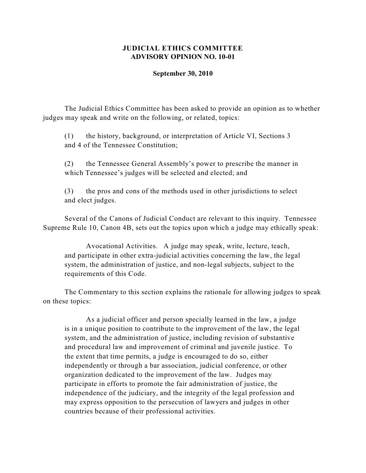## **JUDICIAL ETHICS COMMITTEE ADVISORY OPINION NO. 10-01**

## **September 30, 2010**

The Judicial Ethics Committee has been asked to provide an opinion as to whether judges may speak and write on the following, or related, topics:

(1) the history, background, or interpretation of Article VI, Sections 3 and 4 of the Tennessee Constitution;

(2) the Tennessee General Assembly's power to prescribe the manner in which Tennessee's judges will be selected and elected; and

(3) the pros and cons of the methods used in other jurisdictions to select and elect judges.

Several of the Canons of Judicial Conduct are relevant to this inquiry. Tennessee Supreme Rule 10, Canon 4B, sets out the topics upon which a judge may ethically speak:

Avocational Activities. A judge may speak, write, lecture, teach, and participate in other extra-judicial activities concerning the law, the legal system, the administration of justice, and non-legal subjects, subject to the requirements of this Code.

The Commentary to this section explains the rationale for allowing judges to speak on these topics:

As a judicial officer and person specially learned in the law, a judge is in a unique position to contribute to the improvement of the law, the legal system, and the administration of justice, including revision of substantive and procedural law and improvement of criminal and juvenile justice. To the extent that time permits, a judge is encouraged to do so, either independently or through a bar association, judicial conference, or other organization dedicated to the improvement of the law. Judges may participate in efforts to promote the fair administration of justice, the independence of the judiciary, and the integrity of the legal profession and may express opposition to the persecution of lawyers and judges in other countries because of their professional activities.